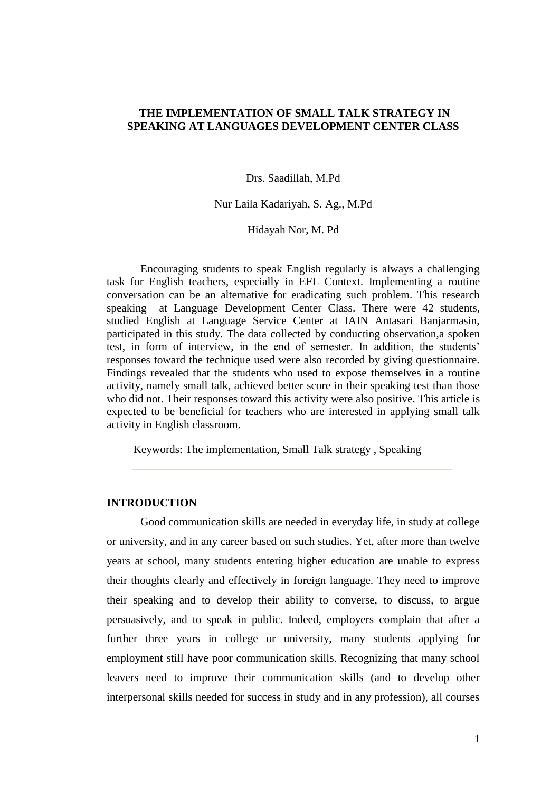# **THE IMPLEMENTATION OF SMALL TALK STRATEGY IN SPEAKING AT LANGUAGES DEVELOPMENT CENTER CLASS**

Drs. Saadillah, M.Pd

Nur Laila Kadariyah, S. Ag., M.Pd

Hidayah Nor, M. Pd

Encouraging students to speak English regularly is always a challenging task for English teachers, especially in EFL Context. Implementing a routine conversation can be an alternative for eradicating such problem. This research speaking at Language Development Center Class. There were 42 students, studied English at Language Service Center at IAIN Antasari Banjarmasin, participated in this study. The data collected by conducting observation,a spoken test, in form of interview, in the end of semester. In addition, the students' responses toward the technique used were also recorded by giving questionnaire. Findings revealed that the students who used to expose themselves in a routine activity, namely small talk, achieved better score in their speaking test than those who did not. Their responses toward this activity were also positive. This article is expected to be beneficial for teachers who are interested in applying small talk activity in English classroom.

Keywords: The implementation, Small Talk strategy , Speaking

# **INTRODUCTION**

Good communication skills are needed in everyday life, in study at college or university, and in any career based on such studies. Yet, after more than twelve years at school, many students entering higher education are unable to express their thoughts clearly and effectively in foreign language. They need to improve their speaking and to develop their ability to converse, to discuss, to argue persuasively, and to speak in public. Indeed, employers complain that after a further three years in college or university, many students applying for employment still have poor communication skills. Recognizing that many school leavers need to improve their communication skills (and to develop other interpersonal skills needed for success in study and in any profession), all courses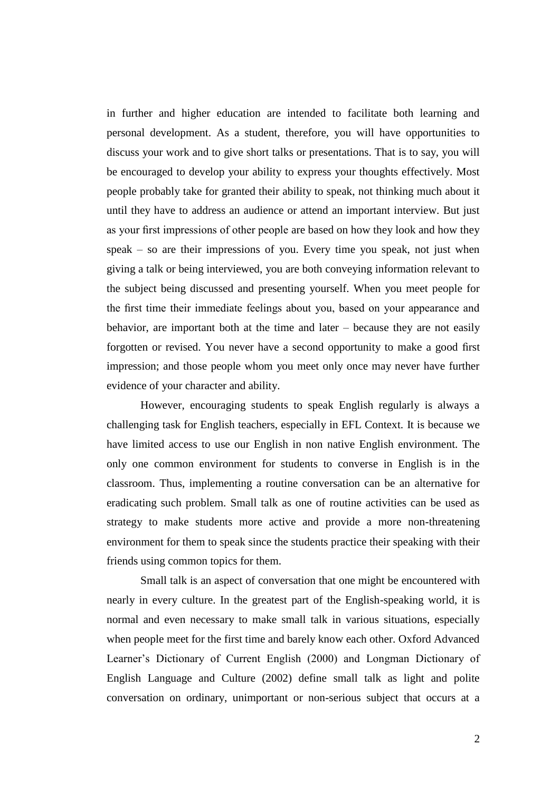in further and higher education are intended to facilitate both learning and personal development. As a student, therefore, you will have opportunities to discuss your work and to give short talks or presentations. That is to say, you will be encouraged to develop your ability to express your thoughts effectively. Most people probably take for granted their ability to speak, not thinking much about it until they have to address an audience or attend an important interview. But just as your first impressions of other people are based on how they look and how they speak – so are their impressions of you. Every time you speak, not just when giving a talk or being interviewed, you are both conveying information relevant to the subject being discussed and presenting yourself. When you meet people for the first time their immediate feelings about you, based on your appearance and behavior, are important both at the time and later – because they are not easily forgotten or revised. You never have a second opportunity to make a good first impression; and those people whom you meet only once may never have further evidence of your character and ability.

However, encouraging students to speak English regularly is always a challenging task for English teachers, especially in EFL Context. It is because we have limited access to use our English in non native English environment. The only one common environment for students to converse in English is in the classroom. Thus, implementing a routine conversation can be an alternative for eradicating such problem. Small talk as one of routine activities can be used as strategy to make students more active and provide a more non-threatening environment for them to speak since the students practice their speaking with their friends using common topics for them.

Small talk is an aspect of conversation that one might be encountered with nearly in every culture. In the greatest part of the English-speaking world, it is normal and even necessary to make small talk in various situations, especially when people meet for the first time and barely know each other. Oxford Advanced Learner's Dictionary of Current English (2000) and Longman Dictionary of English Language and Culture (2002) define small talk as light and polite conversation on ordinary, unimportant or non-serious subject that occurs at a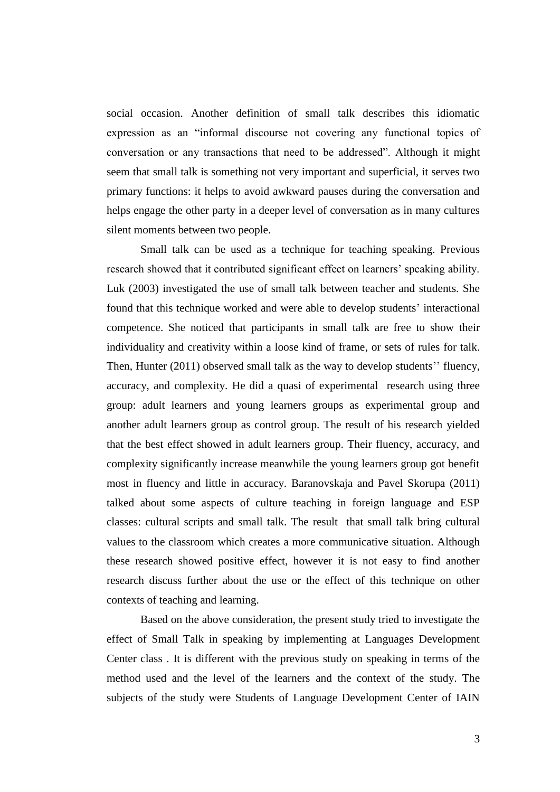social occasion. Another definition of small talk describes this idiomatic expression as an "informal discourse not covering any functional topics of conversation or any transactions that need to be addressed". Although it might seem that small talk is something not very important and superficial, it serves two primary functions: it helps to avoid awkward pauses during the conversation and helps engage the other party in a deeper level of conversation as in many cultures silent moments between two people.

Small talk can be used as a technique for teaching speaking. Previous research showed that it contributed significant effect on learners' speaking ability. Luk (2003) investigated the use of small talk between teacher and students. She found that this technique worked and were able to develop students' interactional competence. She noticed that participants in small talk are free to show their individuality and creativity within a loose kind of frame*,* or sets of rules for talk. Then, Hunter (2011) observed small talk as the way to develop students'' fluency, accuracy, and complexity. He did a quasi of experimental research using three group: adult learners and young learners groups as experimental group and another adult learners group as control group. The result of his research yielded that the best effect showed in adult learners group. Their fluency, accuracy, and complexity significantly increase meanwhile the young learners group got benefit most in fluency and little in accuracy. Baranovskaja and Pavel Skorupa (2011) talked about some aspects of culture teaching in foreign language and ESP classes: cultural scripts and small talk. The result that small talk bring cultural values to the classroom which creates a more communicative situation. Although these research showed positive effect, however it is not easy to find another research discuss further about the use or the effect of this technique on other contexts of teaching and learning.

Based on the above consideration, the present study tried to investigate the effect of Small Talk in speaking by implementing at Languages Development Center class . It is different with the previous study on speaking in terms of the method used and the level of the learners and the context of the study. The subjects of the study were Students of Language Development Center of IAIN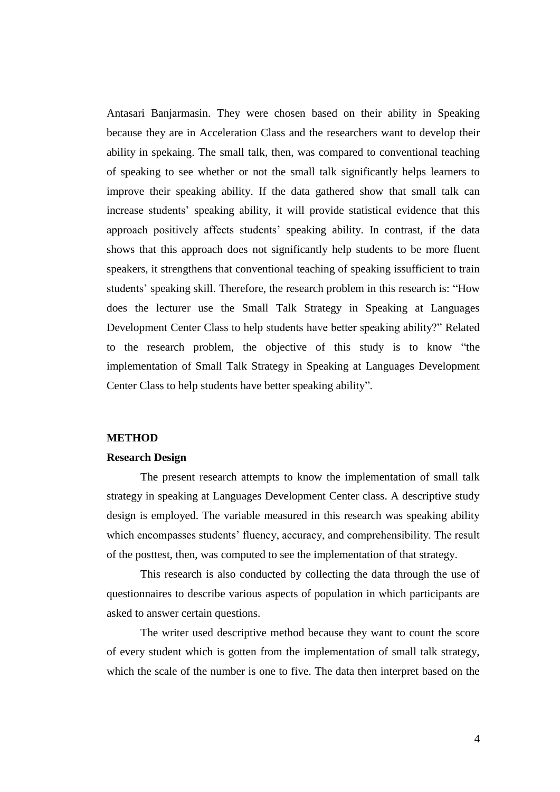Antasari Banjarmasin. They were chosen based on their ability in Speaking because they are in Acceleration Class and the researchers want to develop their ability in spekaing. The small talk, then, was compared to conventional teaching of speaking to see whether or not the small talk significantly helps learners to improve their speaking ability. If the data gathered show that small talk can increase students' speaking ability, it will provide statistical evidence that this approach positively affects students' speaking ability. In contrast, if the data shows that this approach does not significantly help students to be more fluent speakers, it strengthens that conventional teaching of speaking issufficient to train students' speaking skill. Therefore, the research problem in this research is: "How does the lecturer use the Small Talk Strategy in Speaking at Languages Development Center Class to help students have better speaking ability?" Related to the research problem, the objective of this study is to know "the implementation of Small Talk Strategy in Speaking at Languages Development Center Class to help students have better speaking ability".

## **METHOD**

#### **Research Design**

The present research attempts to know the implementation of small talk strategy in speaking at Languages Development Center class. A descriptive study design is employed. The variable measured in this research was speaking ability which encompasses students' fluency, accuracy, and comprehensibility. The result of the posttest, then, was computed to see the implementation of that strategy.

This research is also conducted by collecting the data through the use of questionnaires to describe various aspects of population in which participants are asked to answer certain questions.

The writer used descriptive method because they want to count the score of every student which is gotten from the implementation of small talk strategy, which the scale of the number is one to five. The data then interpret based on the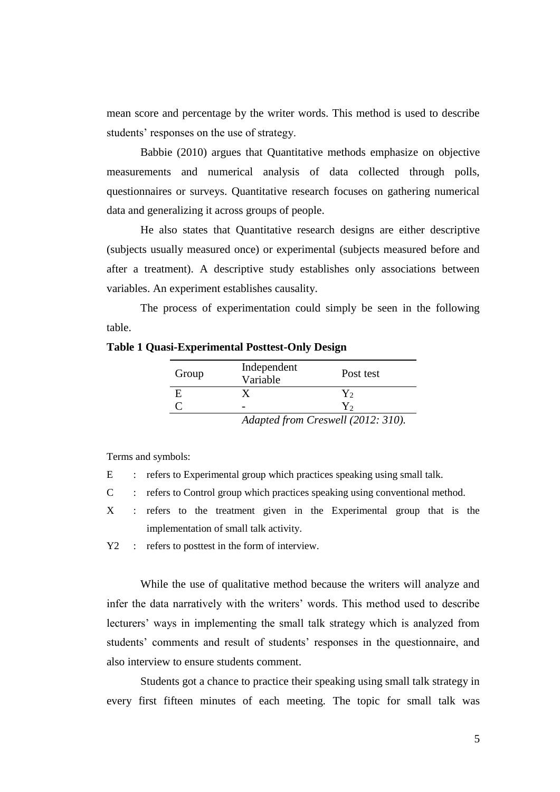mean score and percentage by the writer words. This method is used to describe students' responses on the use of strategy.

Babbie (2010) argues that Quantitative methods emphasize on objective measurements and numerical analysis of data collected through polls, questionnaires or surveys. Quantitative research focuses on gathering numerical data and generalizing it across groups of people.

He also states that Quantitative research designs are either descriptive (subjects usually measured once) or experimental (subjects measured before and after a treatment). A descriptive study establishes only associations between variables. An experiment establishes causality.

The process of experimentation could simply be seen in the following table.

| Group | Independent<br>Variable  | Post test       |
|-------|--------------------------|-----------------|
|       |                          | Y,              |
|       | -                        |                 |
|       | $\blacksquare$<br>$\sim$ | $11/0.12$ $210$ |

# **Table 1 Quasi-Experimental Posttest-Only Design**

Terms and symbols:

- E : refers to Experimental group which practices speaking using small talk.
- C : refers to Control group which practices speaking using conventional method.
- X : refers to the treatment given in the Experimental group that is the implementation of small talk activity.
- Y2 : refers to posttest in the form of interview.

While the use of qualitative method because the writers will analyze and infer the data narratively with the writers' words. This method used to describe lecturers' ways in implementing the small talk strategy which is analyzed from students' comments and result of students' responses in the questionnaire, and also interview to ensure students comment.

Students got a chance to practice their speaking using small talk strategy in every first fifteen minutes of each meeting. The topic for small talk was

*Adapted from Creswell (2012: 310).*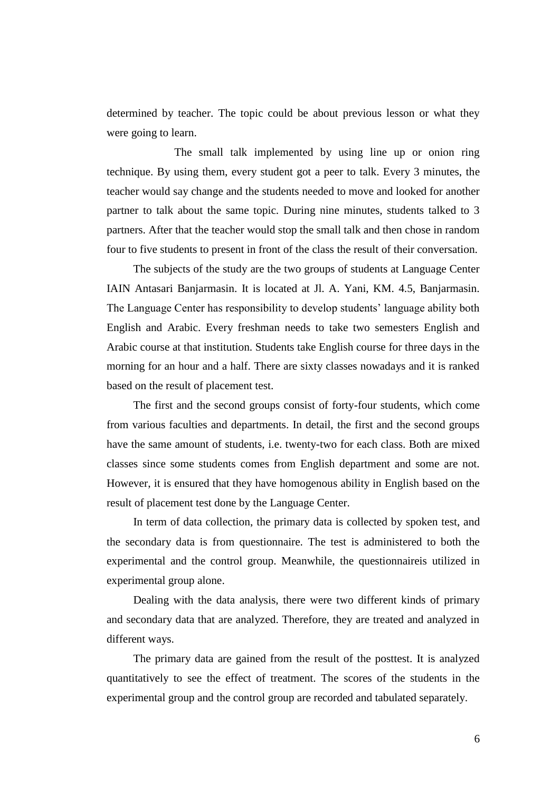determined by teacher. The topic could be about previous lesson or what they were going to learn.

The small talk implemented by using line up or onion ring technique. By using them, every student got a peer to talk. Every 3 minutes, the teacher would say change and the students needed to move and looked for another partner to talk about the same topic. During nine minutes, students talked to 3 partners. After that the teacher would stop the small talk and then chose in random four to five students to present in front of the class the result of their conversation.

The subjects of the study are the two groups of students at Language Center IAIN Antasari Banjarmasin. It is located at Jl. A. Yani, KM. 4.5, Banjarmasin. The Language Center has responsibility to develop students' language ability both English and Arabic. Every freshman needs to take two semesters English and Arabic course at that institution. Students take English course for three days in the morning for an hour and a half. There are sixty classes nowadays and it is ranked based on the result of placement test.

The first and the second groups consist of forty-four students, which come from various faculties and departments. In detail, the first and the second groups have the same amount of students, i.e. twenty-two for each class. Both are mixed classes since some students comes from English department and some are not. However, it is ensured that they have homogenous ability in English based on the result of placement test done by the Language Center.

In term of data collection, the primary data is collected by spoken test, and the secondary data is from questionnaire. The test is administered to both the experimental and the control group. Meanwhile, the questionnaireis utilized in experimental group alone.

Dealing with the data analysis, there were two different kinds of primary and secondary data that are analyzed. Therefore, they are treated and analyzed in different ways.

The primary data are gained from the result of the posttest. It is analyzed quantitatively to see the effect of treatment. The scores of the students in the experimental group and the control group are recorded and tabulated separately.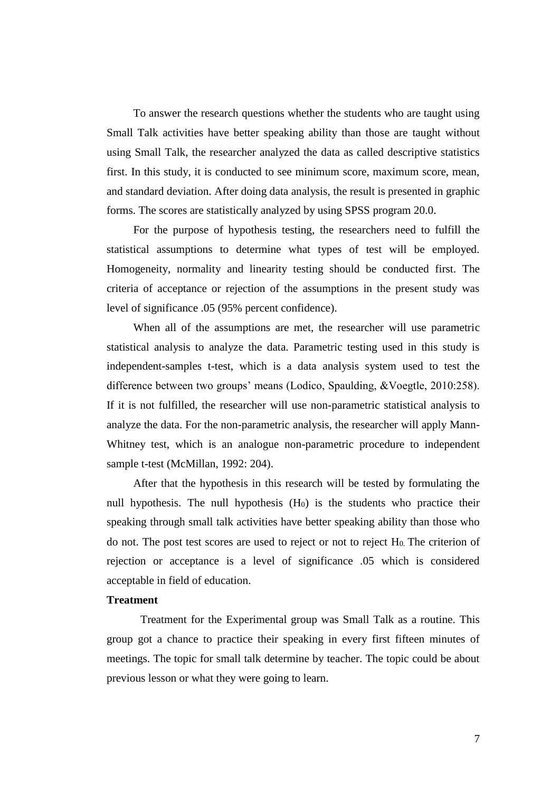To answer the research questions whether the students who are taught using Small Talk activities have better speaking ability than those are taught without using Small Talk, the researcher analyzed the data as called descriptive statistics first. In this study, it is conducted to see minimum score, maximum score, mean, and standard deviation. After doing data analysis, the result is presented in graphic forms. The scores are statistically analyzed by using SPSS program 20.0.

For the purpose of hypothesis testing, the researchers need to fulfill the statistical assumptions to determine what types of test will be employed. Homogeneity, normality and linearity testing should be conducted first. The criteria of acceptance or rejection of the assumptions in the present study was level of significance .05 (95% percent confidence).

When all of the assumptions are met, the researcher will use parametric statistical analysis to analyze the data. Parametric testing used in this study is independent-samples t-test, which is a data analysis system used to test the difference between two groups' means (Lodico, Spaulding, &Voegtle, 2010:258). If it is not fulfilled, the researcher will use non-parametric statistical analysis to analyze the data. For the non-parametric analysis, the researcher will apply Mann-Whitney test, which is an analogue non-parametric procedure to independent sample t-test (McMillan, 1992: 204).

After that the hypothesis in this research will be tested by formulating the null hypothesis. The null hypothesis  $(H_0)$  is the students who practice their speaking through small talk activities have better speaking ability than those who do not. The post test scores are used to reject or not to reject  $H_0$ . The criterion of rejection or acceptance is a level of significance .05 which is considered acceptable in field of education.

## **Treatment**

Treatment for the Experimental group was Small Talk as a routine. This group got a chance to practice their speaking in every first fifteen minutes of meetings. The topic for small talk determine by teacher. The topic could be about previous lesson or what they were going to learn.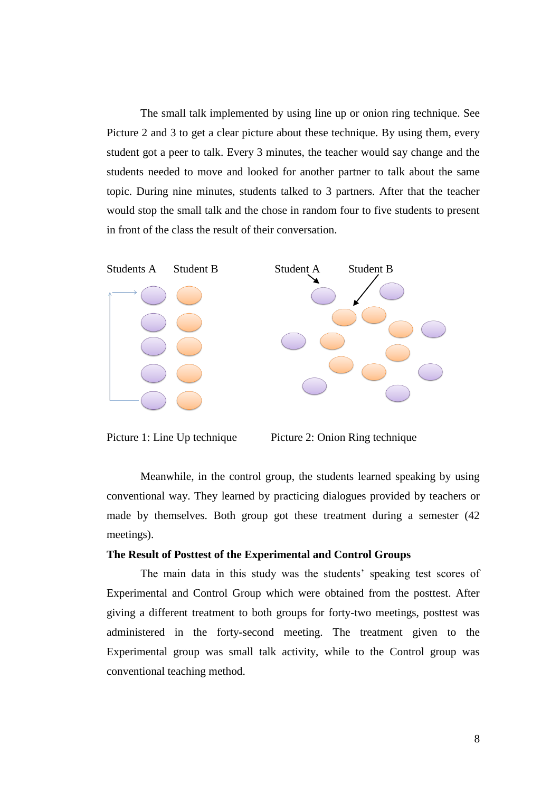The small talk implemented by using line up or onion ring technique. See Picture 2 and 3 to get a clear picture about these technique. By using them, every student got a peer to talk. Every 3 minutes, the teacher would say change and the students needed to move and looked for another partner to talk about the same topic. During nine minutes, students talked to 3 partners. After that the teacher would stop the small talk and the chose in random four to five students to present in front of the class the result of their conversation.





Meanwhile, in the control group, the students learned speaking by using conventional way. They learned by practicing dialogues provided by teachers or made by themselves. Both group got these treatment during a semester (42 meetings).

#### **The Result of Posttest of the Experimental and Control Groups**

The main data in this study was the students' speaking test scores of Experimental and Control Group which were obtained from the posttest. After giving a different treatment to both groups for forty-two meetings, posttest was administered in the forty-second meeting. The treatment given to the Experimental group was small talk activity, while to the Control group was conventional teaching method.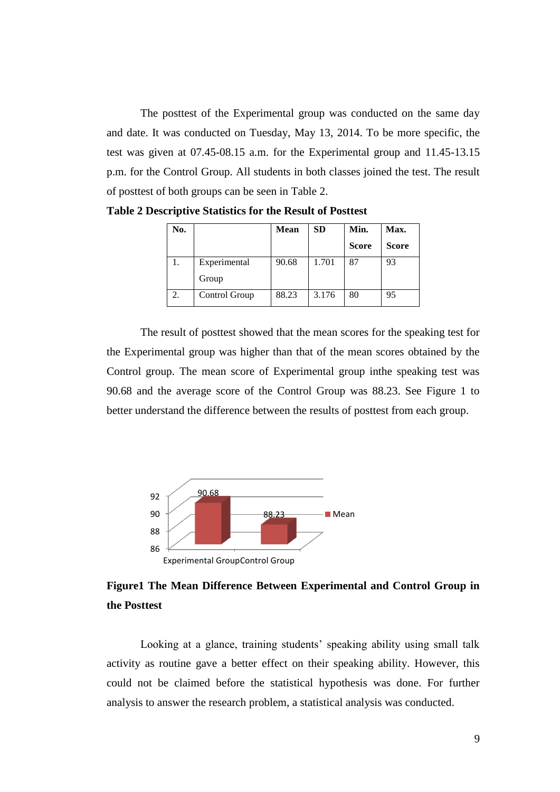The posttest of the Experimental group was conducted on the same day and date. It was conducted on Tuesday, May 13, 2014. To be more specific, the test was given at 07.45-08.15 a.m. for the Experimental group and 11.45-13.15 p.m. for the Control Group. All students in both classes joined the test. The result of posttest of both groups can be seen in Table 2.

| No. |               | <b>Mean</b> | <b>SD</b> | Min.         | Max.         |
|-----|---------------|-------------|-----------|--------------|--------------|
|     |               |             |           | <b>Score</b> | <b>Score</b> |
| ı.  | Experimental  | 90.68       | 1.701     | 87           | 93           |
|     | Group         |             |           |              |              |
| 2.  | Control Group | 88.23       | 3.176     | 80           | 95           |

**Table 2 Descriptive Statistics for the Result of Posttest**

The result of posttest showed that the mean scores for the speaking test for the Experimental group was higher than that of the mean scores obtained by the Control group. The mean score of Experimental group inthe speaking test was 90.68 and the average score of the Control Group was 88.23. See Figure 1 to better understand the difference between the results of posttest from each group.



# **Figure1 The Mean Difference Between Experimental and Control Group in the Posttest**

Looking at a glance, training students' speaking ability using small talk activity as routine gave a better effect on their speaking ability. However, this could not be claimed before the statistical hypothesis was done. For further analysis to answer the research problem, a statistical analysis was conducted.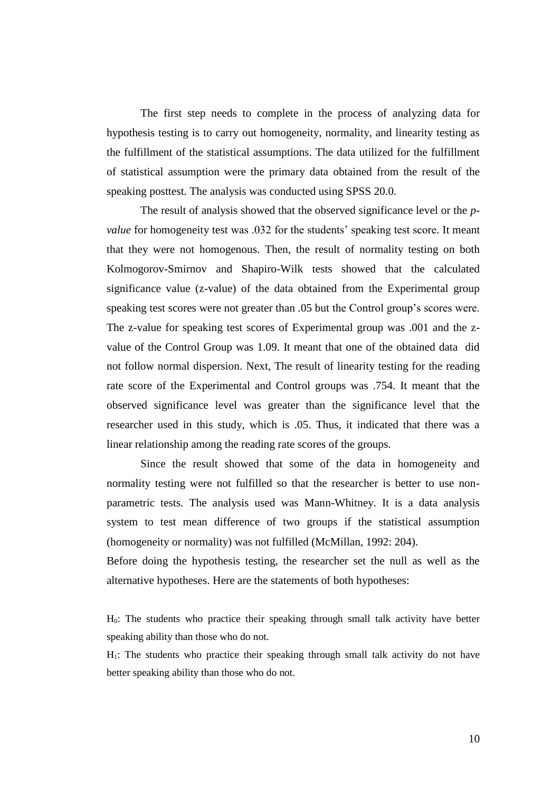The first step needs to complete in the process of analyzing data for hypothesis testing is to carry out homogeneity, normality, and linearity testing as the fulfillment of the statistical assumptions. The data utilized for the fulfillment of statistical assumption were the primary data obtained from the result of the speaking posttest. The analysis was conducted using SPSS 20.0.

The result of analysis showed that the observed significance level or the *pvalue* for homogeneity test was .032 for the students' speaking test score. It meant that they were not homogenous. Then, the result of normality testing on both Kolmogorov-Smirnov and Shapiro-Wilk tests showed that the calculated significance value (z-value) of the data obtained from the Experimental group speaking test scores were not greater than .05 but the Control group's scores were. The z-value for speaking test scores of Experimental group was .001 and the zvalue of the Control Group was 1.09. It meant that one of the obtained data did not follow normal dispersion. Next, The result of linearity testing for the reading rate score of the Experimental and Control groups was .754. It meant that the observed significance level was greater than the significance level that the researcher used in this study, which is .05. Thus, it indicated that there was a linear relationship among the reading rate scores of the groups.

Since the result showed that some of the data in homogeneity and normality testing were not fulfilled so that the researcher is better to use nonparametric tests. The analysis used was Mann-Whitney. It is a data analysis system to test mean difference of two groups if the statistical assumption (homogeneity or normality) was not fulfilled (McMillan, 1992: 204).

Before doing the hypothesis testing, the researcher set the null as well as the alternative hypotheses. Here are the statements of both hypotheses:

H0: The students who practice their speaking through small talk activity have better speaking ability than those who do not.

H1: The students who practice their speaking through small talk activity do not have better speaking ability than those who do not.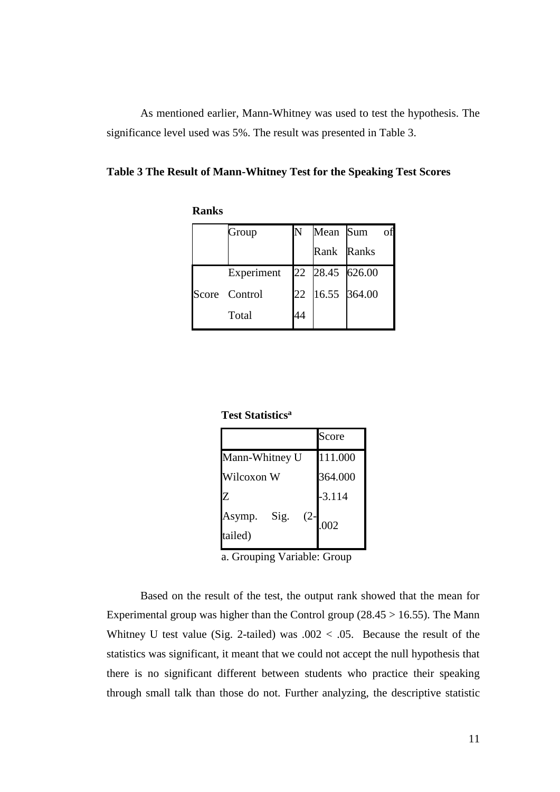As mentioned earlier, Mann-Whitney was used to test the hypothesis. The significance level used was 5%. The result was presented in Table 3.

**Table 3 The Result of Mann-Whitney Test for the Speaking Test Scores** 

**Ranks**

| Group         | N  | Mean Sum        | of |
|---------------|----|-----------------|----|
|               |    | Rank Ranks      |    |
| Experiment    |    | 22 28.45 626.00 |    |
| Score Control | 22 | 16.55 364.00    |    |
| Total         |    |                 |    |

**Test Statistics<sup>a</sup>**

|                                     | Score    |
|-------------------------------------|----------|
| Mann-Whitney U                      | 111.000  |
| Wilcoxon W                          | 364.000  |
| Z                                   | $-3.114$ |
| Sig.<br>$(2 -$<br>Asymp.<br>tailed) | .002     |

a. Grouping Variable: Group

Based on the result of the test, the output rank showed that the mean for Experimental group was higher than the Control group  $(28.45 > 16.55)$ . The Mann Whitney U test value (Sig. 2-tailed) was  $.002 < .05$ . Because the result of the statistics was significant, it meant that we could not accept the null hypothesis that there is no significant different between students who practice their speaking through small talk than those do not. Further analyzing, the descriptive statistic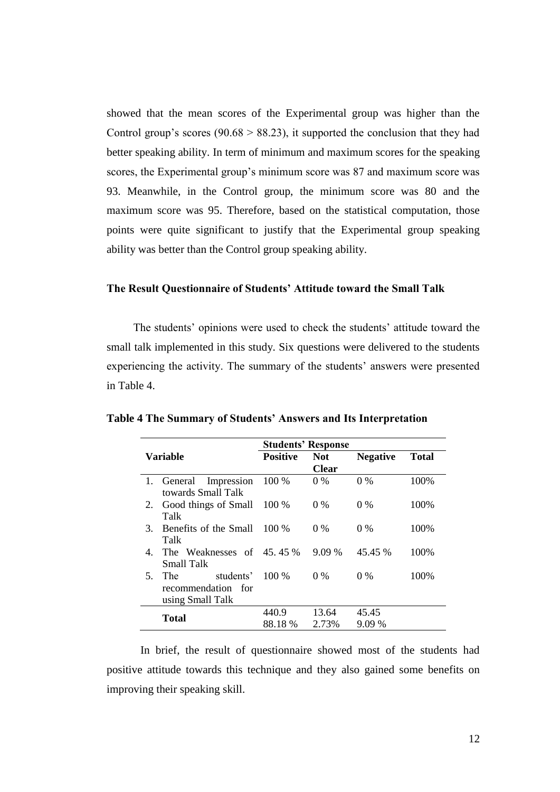showed that the mean scores of the Experimental group was higher than the Control group's scores ( $90.68 > 88.23$ ), it supported the conclusion that they had better speaking ability. In term of minimum and maximum scores for the speaking scores, the Experimental group's minimum score was 87 and maximum score was 93. Meanwhile, in the Control group, the minimum score was 80 and the maximum score was 95. Therefore, based on the statistical computation, those points were quite significant to justify that the Experimental group speaking ability was better than the Control group speaking ability.

## **The Result Questionnaire of Students' Attitude toward the Small Talk**

The students' opinions were used to check the students' attitude toward the small talk implemented in this study. Six questions were delivered to the students experiencing the activity. The summary of the students' answers were presented in Table 4.

|          |                                                            |                  | <b>Students' Response</b> |                 |              |
|----------|------------------------------------------------------------|------------------|---------------------------|-----------------|--------------|
| Variable |                                                            | <b>Positive</b>  | <b>Not</b>                | <b>Negative</b> | <b>Total</b> |
|          |                                                            |                  | <b>Clear</b>              |                 |              |
|          | General<br>Impression<br>towards Small Talk                | 100 %            | $0\%$                     | $0\%$           | 100\%        |
| 2.       | Good things of Small<br>Talk                               | 100 %            | $0\%$                     | $0\%$           | 100\%        |
| 3.       | Benefits of the Small<br>Talk                              | $100\%$          | $0\%$                     | $0\%$           | 100\%        |
| 4.       | The Weaknesses of 45.45 %<br>Small Talk                    |                  | $9.09\%$                  | 45.45 %         | 100\%        |
| 5.       | The<br>students'<br>recommendation for<br>using Small Talk | $100\%$          | $0\%$                     | $0\%$           | 100%         |
|          | <b>Total</b>                                               | 440.9<br>88.18 % | 13.64<br>2.73%            | 45.45<br>9.09 % |              |

**Table 4 The Summary of Students' Answers and Its Interpretation**

In brief, the result of questionnaire showed most of the students had positive attitude towards this technique and they also gained some benefits on improving their speaking skill.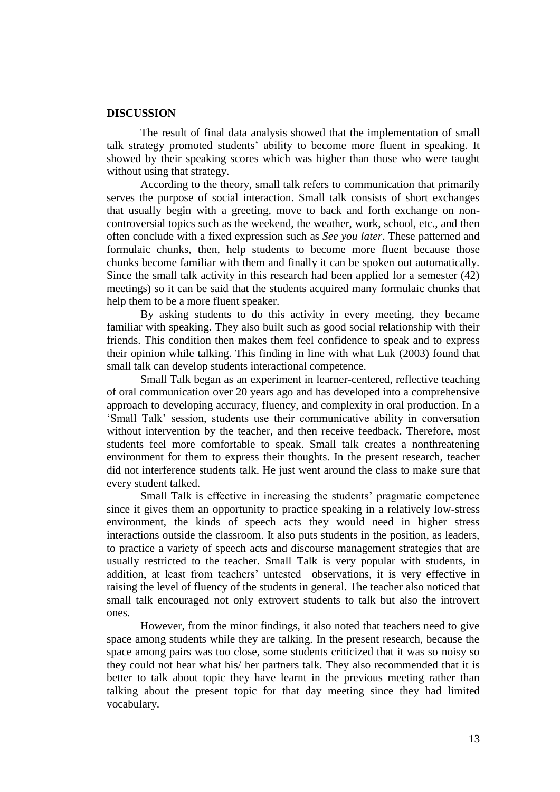#### **DISCUSSION**

The result of final data analysis showed that the implementation of small talk strategy promoted students' ability to become more fluent in speaking. It showed by their speaking scores which was higher than those who were taught without using that strategy.

According to the theory, small talk refers to communication that primarily serves the purpose of social interaction. Small talk consists of short exchanges that usually begin with a greeting, move to back and forth exchange on noncontroversial topics such as the weekend, the weather, work, school, etc., and then often conclude with a fixed expression such as *See you later*. These patterned and formulaic chunks, then, help students to become more fluent because those chunks become familiar with them and finally it can be spoken out automatically. Since the small talk activity in this research had been applied for a semester (42) meetings) so it can be said that the students acquired many formulaic chunks that help them to be a more fluent speaker.

By asking students to do this activity in every meeting, they became familiar with speaking. They also built such as good social relationship with their friends. This condition then makes them feel confidence to speak and to express their opinion while talking. This finding in line with what Luk (2003) found that small talk can develop students interactional competence.

Small Talk began as an experiment in learner-centered, reflective teaching of oral communication over 20 years ago and has developed into a comprehensive approach to developing accuracy, fluency, and complexity in oral production. In a 'Small Talk' session, students use their communicative ability in conversation without intervention by the teacher, and then receive feedback. Therefore, most students feel more comfortable to speak. Small talk creates a nonthreatening environment for them to express their thoughts. In the present research, teacher did not interference students talk. He just went around the class to make sure that every student talked.

Small Talk is effective in increasing the students' pragmatic competence since it gives them an opportunity to practice speaking in a relatively low-stress environment, the kinds of speech acts they would need in higher stress interactions outside the classroom. It also puts students in the position, as leaders, to practice a variety of speech acts and discourse management strategies that are usually restricted to the teacher. Small Talk is very popular with students, in addition, at least from teachers' untested observations, it is very effective in raising the level of fluency of the students in general. The teacher also noticed that small talk encouraged not only extrovert students to talk but also the introvert ones.

However, from the minor findings, it also noted that teachers need to give space among students while they are talking. In the present research, because the space among pairs was too close, some students criticized that it was so noisy so they could not hear what his/ her partners talk. They also recommended that it is better to talk about topic they have learnt in the previous meeting rather than talking about the present topic for that day meeting since they had limited vocabulary.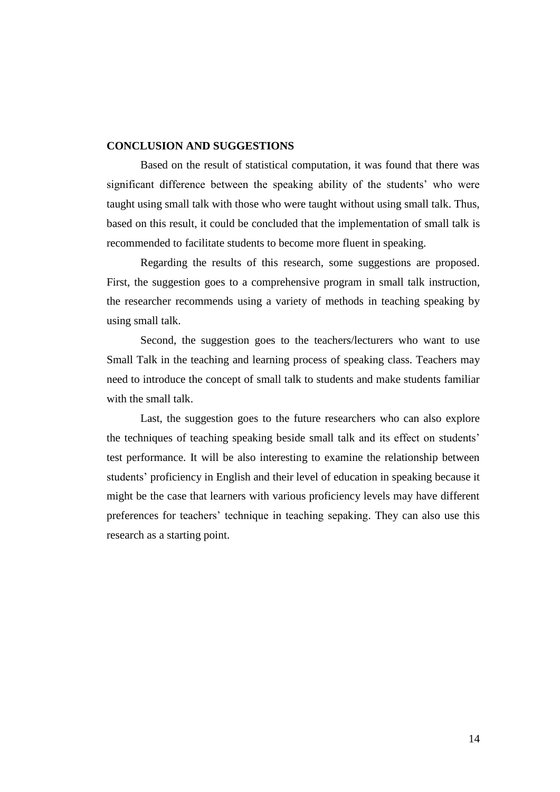## **CONCLUSION AND SUGGESTIONS**

Based on the result of statistical computation, it was found that there was significant difference between the speaking ability of the students' who were taught using small talk with those who were taught without using small talk. Thus, based on this result, it could be concluded that the implementation of small talk is recommended to facilitate students to become more fluent in speaking.

Regarding the results of this research, some suggestions are proposed. First, the suggestion goes to a comprehensive program in small talk instruction, the researcher recommends using a variety of methods in teaching speaking by using small talk.

Second, the suggestion goes to the teachers/lecturers who want to use Small Talk in the teaching and learning process of speaking class. Teachers may need to introduce the concept of small talk to students and make students familiar with the small talk.

Last, the suggestion goes to the future researchers who can also explore the techniques of teaching speaking beside small talk and its effect on students' test performance. It will be also interesting to examine the relationship between students' proficiency in English and their level of education in speaking because it might be the case that learners with various proficiency levels may have different preferences for teachers' technique in teaching sepaking. They can also use this research as a starting point.